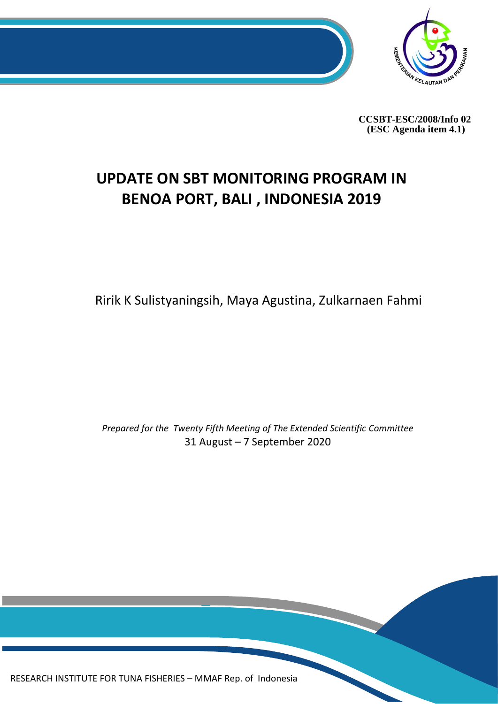

**CCSBT-ESC/2008/Info 02 (ESC Agenda item 4.1)**

# **UPDATE ON SBT MONITORING PROGRAM IN BENOA PORT, BALI , INDONESIA 2019**

Ririk K Sulistyaningsih, Maya Agustina, Zulkarnaen Fahmi

*Prepared for the Twenty Fifth Meeting of The Extended Scientific Committee* 31 August – 7 September 2020

0 RESEARCH INSTITUTE FOR TUNA FISHERIES – MMAF Rep. of Indonesia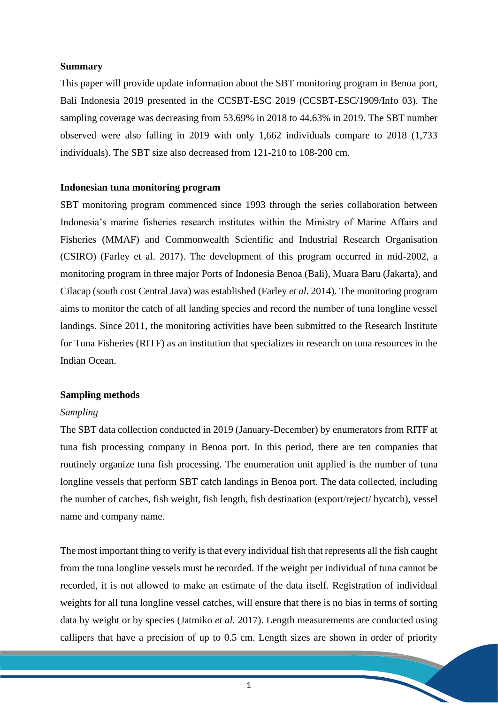## **Summary**

This paper will provide update information about the SBT monitoring program in Benoa port, Bali Indonesia 2019 presented in the CCSBT-ESC 2019 (CCSBT-ESC/1909/Info 03). The sampling coverage was decreasing from 53.69% in 2018 to 44.63% in 2019. The SBT number observed were also falling in 2019 with only 1,662 individuals compare to 2018 (1,733 individuals). The SBT size also decreased from 121-210 to 108-200 cm.

### **Indonesian tuna monitoring program**

SBT monitoring program commenced since 1993 through the series collaboration between Indonesia's marine fisheries research institutes within the Ministry of Marine Affairs and Fisheries (MMAF) and Commonwealth Scientific and Industrial Research Organisation (CSIRO) (Farley et al. 2017). The development of this program occurred in mid-2002, a monitoring program in three major Ports of Indonesia Benoa (Bali), Muara Baru (Jakarta), and Cilacap (south cost Central Java) was established (Farley *et al.* 2014). The monitoring program aims to monitor the catch of all landing species and record the number of tuna longline vessel landings. Since 2011, the monitoring activities have been submitted to the Research Institute for Tuna Fisheries (RITF) as an institution that specializes in research on tuna resources in the Indian Ocean.

#### **Sampling methods**

#### *Sampling*

The SBT data collection conducted in 2019 (January-December) by enumerators from RITF at tuna fish processing company in Benoa port. In this period, there are ten companies that routinely organize tuna fish processing. The enumeration unit applied is the number of tuna longline vessels that perform SBT catch landings in Benoa port. The data collected, including the number of catches, fish weight, fish length, fish destination (export/reject/ bycatch), vessel name and company name.

The most important thing to verify is that every individual fish that represents all the fish caught from the tuna longline vessels must be recorded. If the weight per individual of tuna cannot be recorded, it is not allowed to make an estimate of the data itself. Registration of individual weights for all tuna longline vessel catches, will ensure that there is no bias in terms of sorting data by weight or by species (Jatmiko *et al.* 2017). Length measurements are conducted using callipers that have a precision of up to 0.5 cm. Length sizes are shown in order of priority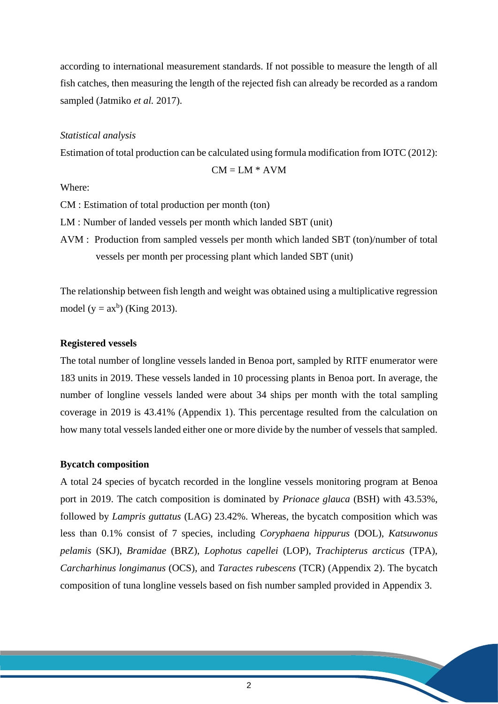according to international measurement standards. If not possible to measure the length of all fish catches, then measuring the length of the rejected fish can already be recorded as a random sampled (Jatmiko *et al.* 2017).

### *Statistical analysis*

Estimation of total production can be calculated using formula modification from IOTC (2012):

 $CM = LM * AVM$ 

Where:

CM : Estimation of total production per month (ton)

LM : Number of landed vessels per month which landed SBT (unit)

AVM : Production from sampled vessels per month which landed SBT (ton)/number of total vessels per month per processing plant which landed SBT (unit)

The relationship between fish length and weight was obtained using a multiplicative regression model ( $y = ax^b$ ) (King 2013).

## **Registered vessels**

The total number of longline vessels landed in Benoa port, sampled by RITF enumerator were 183 units in 2019. These vessels landed in 10 processing plants in Benoa port. In average, the number of longline vessels landed were about 34 ships per month with the total sampling coverage in 2019 is 43.41% (Appendix 1). This percentage resulted from the calculation on how many total vessels landed either one or more divide by the number of vessels that sampled.

#### **Bycatch composition**

A total 24 species of bycatch recorded in the longline vessels monitoring program at Benoa port in 2019. The catch composition is dominated by *Prionace glauca* (BSH) with 43.53%, followed by *Lampris guttatus* (LAG) 23.42%. Whereas, the bycatch composition which was less than 0.1% consist of 7 species, including *Coryphaena hippurus* (DOL), *Katsuwonus pelamis* (SKJ), *Bramidae* (BRZ), *Lophotus capellei* (LOP), *Trachipterus arcticus* (TPA), *Carcharhinus longimanus* (OCS), and *Taractes rubescens* (TCR) (Appendix 2). The bycatch composition of tuna longline vessels based on fish number sampled provided in Appendix 3.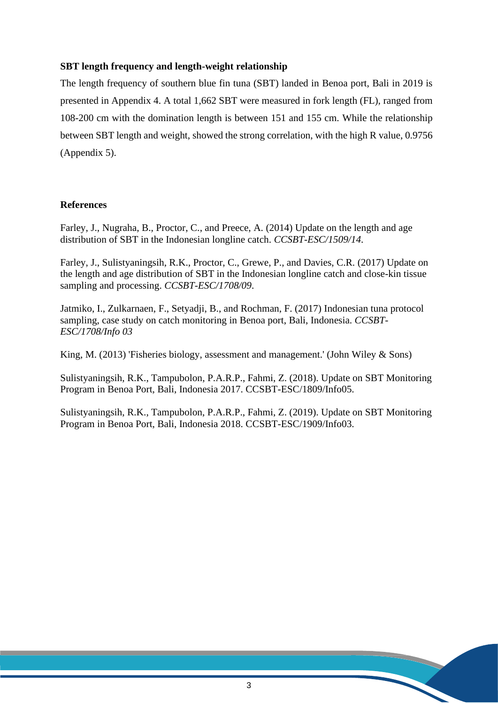## **SBT length frequency and length-weight relationship**

The length frequency of southern blue fin tuna (SBT) landed in Benoa port, Bali in 2019 is presented in Appendix 4. A total 1,662 SBT were measured in fork length (FL), ranged from 108-200 cm with the domination length is between 151 and 155 cm. While the relationship between SBT length and weight, showed the strong correlation, with the high R value, 0.9756 (Appendix 5).

## **References**

Farley, J., Nugraha, B., Proctor, C., and Preece, A. (2014) Update on the length and age distribution of SBT in the Indonesian longline catch. *CCSBT-ESC/1509/14*.

Farley, J., Sulistyaningsih, R.K., Proctor, C., Grewe, P., and Davies, C.R. (2017) Update on the length and age distribution of SBT in the Indonesian longline catch and close-kin tissue sampling and processing. *CCSBT-ESC/1708/09*.

Jatmiko, I., Zulkarnaen, F., Setyadji, B., and Rochman, F. (2017) Indonesian tuna protocol sampling, case study on catch monitoring in Benoa port, Bali, Indonesia. *CCSBT-ESC/1708/Info 03*

King, M. (2013) 'Fisheries biology, assessment and management.' (John Wiley & Sons)

Sulistyaningsih, R.K., Tampubolon, P.A.R.P., Fahmi, Z. (2018). Update on SBT Monitoring Program in Benoa Port, Bali, Indonesia 2017. CCSBT-ESC/1809/Info05.

Sulistyaningsih, R.K., Tampubolon, P.A.R.P., Fahmi, Z. (2019). Update on SBT Monitoring Program in Benoa Port, Bali, Indonesia 2018. CCSBT-ESC/1909/Info03.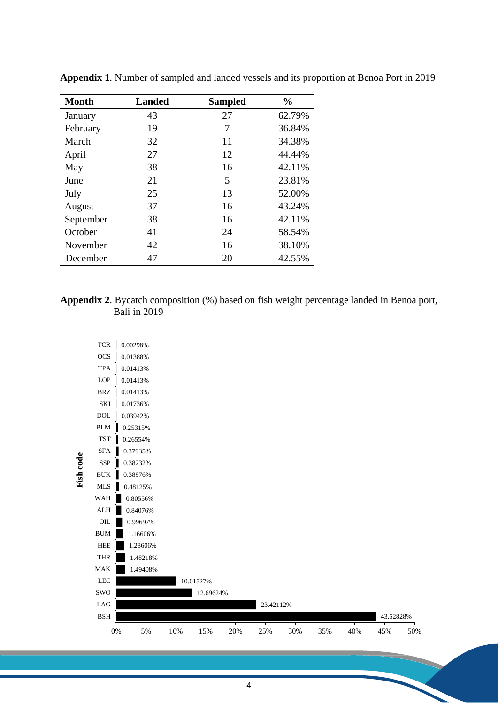| <b>Month</b> | <b>Landed</b> | <b>Sampled</b> | $\frac{0}{0}$ |  |  |
|--------------|---------------|----------------|---------------|--|--|
| January      | 43            | 27             | 62.79%        |  |  |
| February     | 19            | 7              | 36.84%        |  |  |
| March        | 32            | 11             | 34.38%        |  |  |
| April        | 27            | 12             | 44.44%        |  |  |
| May          | 38            | 16             | 42.11%        |  |  |
| June         | 21            | 5              | 23.81%        |  |  |
| July         | 25            | 13             | 52.00%        |  |  |
| August       | 37            | 16             | 43.24%        |  |  |
| September    | 38            | 16             | 42.11%        |  |  |
| October      | 41            | 24             | 58.54%        |  |  |
| November     | 42            | 16             | 38.10%        |  |  |
| December     | 47            | 20             | 42.55%        |  |  |

**Appendix 1**. Number of sampled and landed vessels and its proportion at Benoa Port in 2019

## **Appendix 2**. Bycatch composition (%) based on fish weight percentage landed in Benoa port, Bali in 2019

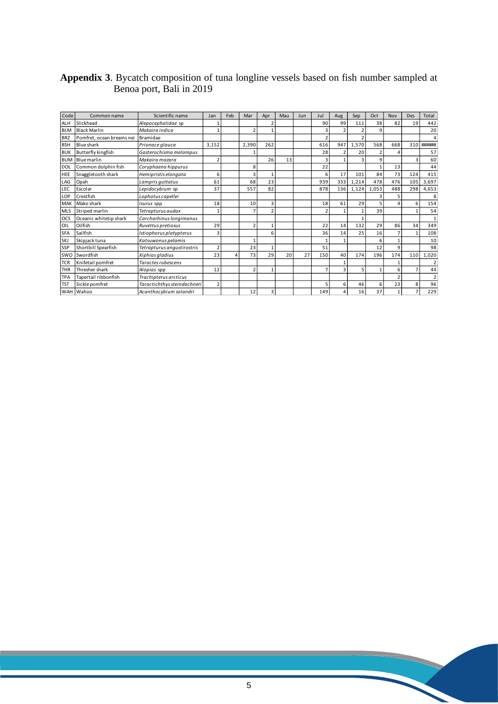## **Appendix 3**. Bycatch composition of tuna longline vessels based on fish number sampled at Benoa port, Bali in 2019

| Code       | Common name               | Scientific name             | Jan                     | Feb | Mar            | Apr            | Mau | Jun | Jul                     | Aug | Sep   | Oct            | Nov | Des | Total          |
|------------|---------------------------|-----------------------------|-------------------------|-----|----------------|----------------|-----|-----|-------------------------|-----|-------|----------------|-----|-----|----------------|
| <b>ALH</b> | Slickhead                 | Alepocephalidae sp          |                         |     |                | 2              |     |     | 90                      | 99  | 111   | 38             | 82  | 19  | 442            |
| <b>BLM</b> | <b>Black Marlin</b>       | Makaira indica              | 1                       |     | $\overline{2}$ |                |     |     | 3                       |     |       | 9              |     |     | 20             |
| <b>BRZ</b> | Pomfret, ocean breams nei | Bramidae                    |                         |     |                |                |     |     | $\mathfrak{I}$          |     |       |                |     |     | 4              |
| <b>BSH</b> | Blue shark                | Prionace glauca             | 3,152                   |     | 2,390          | 262            |     |     | 616                     | 947 | 1,570 | 568            | 668 | 310 | ######         |
| <b>BUK</b> | Butterfly kingfish        | Gasterochisma melampus      |                         |     |                |                |     |     | 28                      |     | 20    | $\overline{2}$ |     |     | 57             |
| <b>BUM</b> | Blue marlin               | Makaira mazara              | $\overline{2}$          |     |                | 26             | 13  |     | 3                       |     |       | 9              |     | 3   | 60             |
| <b>DOL</b> | Common dolphin fish       | Coryphaena hippurus         |                         |     | 8              |                |     |     | 22                      |     |       |                | 13  |     | 44             |
| HEE        | Snaggletooth shark        | Hemipristis elongata        | 6                       |     | 3              |                |     |     | 6                       | 17  | 101   | 84             | 73  | 124 | 415            |
| LAG        | Opah                      | Lampris quttatus            | 61                      |     | 68             | 23             |     |     | 939                     | 333 | 1,214 | 478            | 476 | 105 | 3,697          |
| LEC        | Escolar                   | Lepidocybium sp             | 37                      |     | 557            | 82             |     |     | 878                     | 136 | 1,124 | 1,053          | 488 | 298 | 4,653          |
| LOP        | Crestfish                 | Lophotus capellei           |                         |     |                |                |     |     |                         |     |       | 3              |     |     | 8              |
| MAK        | Mako shark                | <i>Isurus</i> spp           | 18                      |     | 10             | 3              |     |     | 18                      | 61  | 29    |                |     | 6   | 154            |
| <b>MLS</b> | Striped marlin            | Tetrapturus audax           | 1                       |     | $\overline{7}$ | $\overline{2}$ |     |     | $\overline{\mathbf{c}}$ |     |       | 39             |     |     | 54             |
| OCS        | Oceanic whitetip shark    | Carcharhinus longimanus     |                         |     |                |                |     |     |                         |     |       |                |     |     | $\mathbf{1}$   |
| OIL        | Oilfish                   | Ruvettus pretiosus          | 29                      |     | $\overline{2}$ | $\mathbf{1}$   |     |     | 22                      | 14  | 132   | 29             | 86  | 34  | 349            |
| <b>SFA</b> | Sailfish                  | Istiophorus platypterus     | 3                       |     |                | 6              |     |     | 36                      | 14  | 25    | 16             |     |     | 108            |
| SKJ        | Skipjack tuna             | Katsuwonus pelamis          |                         |     | $\mathbf{1}$   |                |     |     | 1                       |     |       | 6              |     |     | 10             |
| SSP        | Shortbill Spearfish       | Tetrapturus angustirostris  | $\overline{\mathbf{c}}$ |     | 23             | 1              |     |     | 51                      |     |       | 12             | 9   |     | 98             |
| <b>SWO</b> | Swordfish                 | Xiphias gladius             | 23                      |     | 73             | 29             | 20  | 27  | 150                     | 40  | 174   | 196            | 174 | 110 | 1,020          |
| TCR        | Knifetail pomfret         | Taractes rubescens          |                         |     |                |                |     |     |                         |     |       |                |     |     | $\overline{2}$ |
| <b>THR</b> | Thresher shark            | Alopias spp                 | 12                      |     | $\overline{2}$ | 1              |     |     | z                       |     | 5     | 1              | ĥ   |     | 44             |
| <b>TPA</b> | Tapertail ribbonfish      | Trachipterus arcticus       |                         |     |                |                |     |     |                         |     |       |                |     |     | $\overline{2}$ |
| <b>TST</b> | Sickle pomfret            | Taractichthys steindachneri | $\overline{2}$          |     |                |                |     |     | 5                       | 6   | 46    | 6              | 23  | 8   | 96             |
| WAH        | Wahoo                     | Acanthocybium solandri      |                         |     | 12             | 3              |     |     | 149                     |     | 16    | 37             |     |     | 229            |

X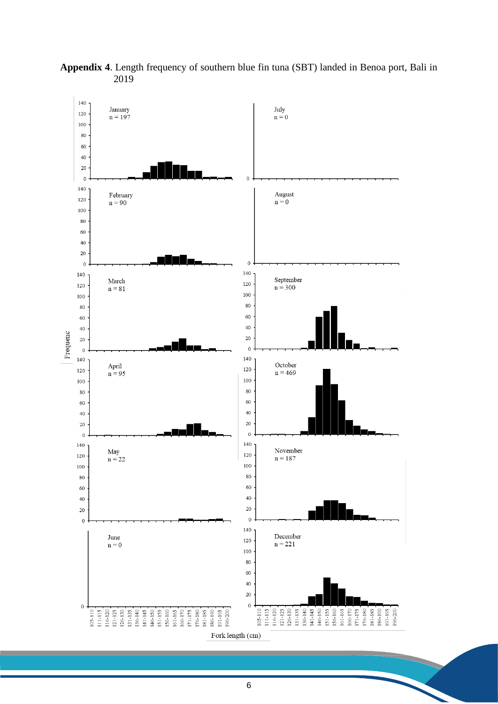

**Appendix 4**. Length frequency of southern blue fin tuna (SBT) landed in Benoa port, Bali in